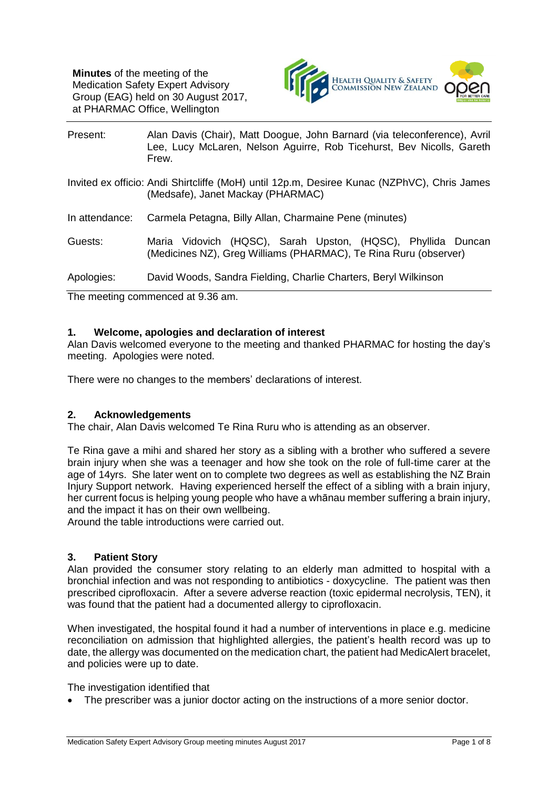

| Present:       | Alan Davis (Chair), Matt Doogue, John Barnard (via teleconference), Avril<br>Lee, Lucy McLaren, Nelson Aguirre, Rob Ticehurst, Bev Nicolls, Gareth<br>Frew. |
|----------------|-------------------------------------------------------------------------------------------------------------------------------------------------------------|
|                | Invited ex officio: Andi Shirtcliffe (MoH) until 12p.m, Desiree Kunac (NZPhVC), Chris James<br>(Medsafe), Janet Mackay (PHARMAC)                            |
| In attendance: | Carmela Petagna, Billy Allan, Charmaine Pene (minutes)                                                                                                      |
| Guests:        | Maria Vidovich (HQSC), Sarah Upston, (HQSC), Phyllida Duncan<br>(Medicines NZ), Greg Williams (PHARMAC), Te Rina Ruru (observer)                            |
| Apologies:     | David Woods, Sandra Fielding, Charlie Charters, Beryl Wilkinson                                                                                             |

The meeting commenced at 9.36 am.

# **1. Welcome, apologies and declaration of interest**

Alan Davis welcomed everyone to the meeting and thanked PHARMAC for hosting the day's meeting. Apologies were noted.

There were no changes to the members' declarations of interest.

### **2. Acknowledgements**

The chair, Alan Davis welcomed Te Rina Ruru who is attending as an observer.

Te Rina gave a mihi and shared her story as a sibling with a brother who suffered a severe brain injury when she was a teenager and how she took on the role of full-time carer at the age of 14yrs. She later went on to complete two degrees as well as establishing the NZ Brain Injury Support network. Having experienced herself the effect of a sibling with a brain injury, her current focus is helping young people who have a whānau member suffering a brain injury, and the impact it has on their own wellbeing.

Around the table introductions were carried out.

### **3. Patient Story**

Alan provided the consumer story relating to an elderly man admitted to hospital with a bronchial infection and was not responding to antibiotics - doxycycline. The patient was then prescribed ciprofloxacin. After a severe adverse reaction (toxic epidermal necrolysis, TEN), it was found that the patient had a documented allergy to ciprofloxacin.

When investigated, the hospital found it had a number of interventions in place e.g. medicine reconciliation on admission that highlighted allergies, the patient's health record was up to date, the allergy was documented on the medication chart, the patient had MedicAlert bracelet, and policies were up to date.

The investigation identified that

• The prescriber was a junior doctor acting on the instructions of a more senior doctor.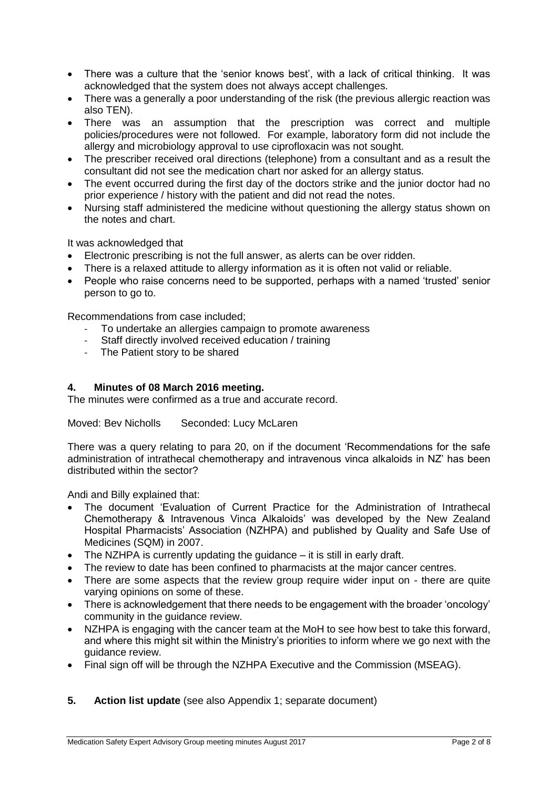- There was a culture that the 'senior knows best', with a lack of critical thinking. It was acknowledged that the system does not always accept challenges.
- There was a generally a poor understanding of the risk (the previous allergic reaction was also TEN).
- There was an assumption that the prescription was correct and multiple policies/procedures were not followed. For example, laboratory form did not include the allergy and microbiology approval to use ciprofloxacin was not sought.
- The prescriber received oral directions (telephone) from a consultant and as a result the consultant did not see the medication chart nor asked for an allergy status.
- The event occurred during the first day of the doctors strike and the junior doctor had no prior experience / history with the patient and did not read the notes.
- Nursing staff administered the medicine without questioning the allergy status shown on the notes and chart.

It was acknowledged that

- Electronic prescribing is not the full answer, as alerts can be over ridden.
- There is a relaxed attitude to allergy information as it is often not valid or reliable.
- People who raise concerns need to be supported, perhaps with a named 'trusted' senior person to go to.

Recommendations from case included;

- To undertake an allergies campaign to promote awareness
- Staff directly involved received education / training
- The Patient story to be shared

#### **4. Minutes of 08 March 2016 meeting.**

The minutes were confirmed as a true and accurate record.

Moved: Bev Nicholls Seconded: Lucy McLaren

There was a query relating to para 20, on if the document 'Recommendations for the safe administration of intrathecal chemotherapy and intravenous vinca alkaloids in NZ' has been distributed within the sector?

Andi and Billy explained that:

- The document 'Evaluation of Current Practice for the Administration of Intrathecal Chemotherapy & Intravenous Vinca Alkaloids' was developed by the New Zealand Hospital Pharmacists' Association (NZHPA) and published by Quality and Safe Use of Medicines (SQM) in 2007.
- The NZHPA is currently updating the guidance it is still in early draft.
- The review to date has been confined to pharmacists at the major cancer centres.
- There are some aspects that the review group require wider input on there are quite varying opinions on some of these.
- There is acknowledgement that there needs to be engagement with the broader 'oncology' community in the guidance review.
- NZHPA is engaging with the cancer team at the MoH to see how best to take this forward, and where this might sit within the Ministry's priorities to inform where we go next with the guidance review.
- Final sign off will be through the NZHPA Executive and the Commission (MSEAG).
- **5. Action list update** (see also Appendix 1; separate document)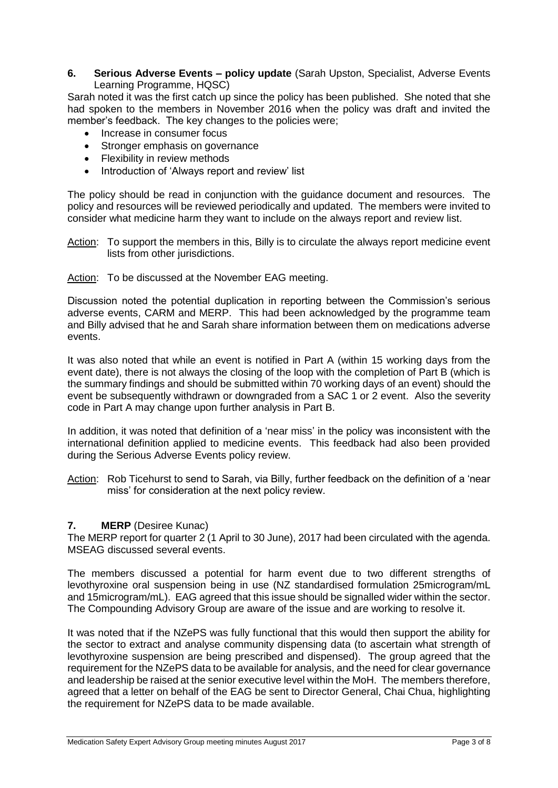### **6. Serious Adverse Events – policy update** (Sarah Upston, Specialist, Adverse Events Learning Programme, HQSC)

Sarah noted it was the first catch up since the policy has been published. She noted that she had spoken to the members in November 2016 when the policy was draft and invited the member's feedback. The key changes to the policies were;

- Increase in consumer focus
- Stronger emphasis on governance
- Flexibility in review methods
- Introduction of 'Always report and review' list

The policy should be read in conjunction with the guidance document and resources. The policy and resources will be reviewed periodically and updated. The members were invited to consider what medicine harm they want to include on the always report and review list.

- Action: To support the members in this, Billy is to circulate the always report medicine event lists from other jurisdictions.
- Action: To be discussed at the November EAG meeting.

Discussion noted the potential duplication in reporting between the Commission's serious adverse events, CARM and MERP. This had been acknowledged by the programme team and Billy advised that he and Sarah share information between them on medications adverse events.

It was also noted that while an event is notified in Part A (within 15 working days from the event date), there is not always the closing of the loop with the completion of Part B (which is the summary findings and should be submitted within 70 working days of an event) should the event be subsequently withdrawn or downgraded from a SAC 1 or 2 event. Also the severity code in Part A may change upon further analysis in Part B.

In addition, it was noted that definition of a 'near miss' in the policy was inconsistent with the international definition applied to medicine events. This feedback had also been provided during the Serious Adverse Events policy review.

Action: Rob Ticehurst to send to Sarah, via Billy, further feedback on the definition of a 'near miss' for consideration at the next policy review.

### **7. MERP** (Desiree Kunac)

The MERP report for quarter 2 (1 April to 30 June), 2017 had been circulated with the agenda. MSEAG discussed several events.

The members discussed a potential for harm event due to two different strengths of levothyroxine oral suspension being in use (NZ standardised formulation 25microgram/mL and 15microgram/mL). EAG agreed that this issue should be signalled wider within the sector. The Compounding Advisory Group are aware of the issue and are working to resolve it.

It was noted that if the NZePS was fully functional that this would then support the ability for the sector to extract and analyse community dispensing data (to ascertain what strength of levothyroxine suspension are being prescribed and dispensed). The group agreed that the requirement for the NZePS data to be available for analysis, and the need for clear governance and leadership be raised at the senior executive level within the MoH. The members therefore, agreed that a letter on behalf of the EAG be sent to Director General, Chai Chua, highlighting the requirement for NZePS data to be made available.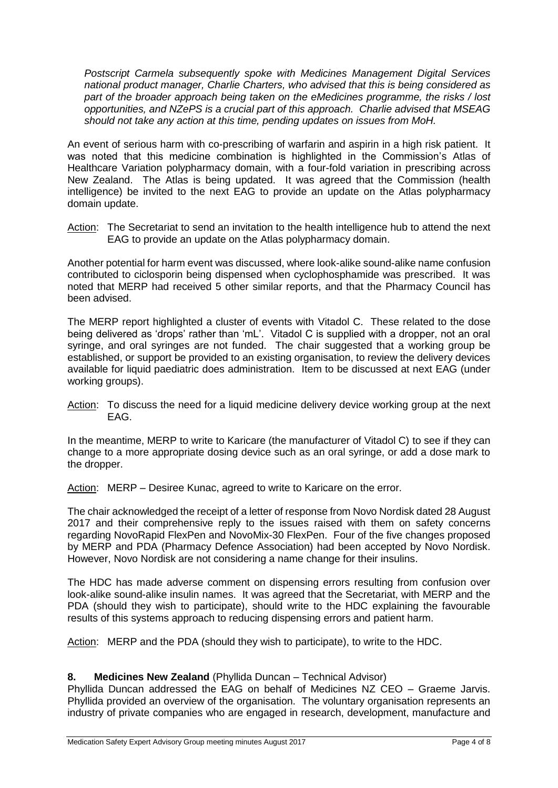*Postscript Carmela subsequently spoke with Medicines Management Digital Services national product manager, Charlie Charters, who advised that this is being considered as part of the broader approach being taken on the eMedicines programme, the risks / lost opportunities, and NZePS is a crucial part of this approach. Charlie advised that MSEAG should not take any action at this time, pending updates on issues from MoH.*

An event of serious harm with co-prescribing of warfarin and aspirin in a high risk patient. It was noted that this medicine combination is highlighted in the Commission's Atlas of Healthcare Variation polypharmacy domain, with a four-fold variation in prescribing across New Zealand. The Atlas is being updated. It was agreed that the Commission (health intelligence) be invited to the next EAG to provide an update on the Atlas polypharmacy domain update.

Action: The Secretariat to send an invitation to the health intelligence hub to attend the next EAG to provide an update on the Atlas polypharmacy domain.

Another potential for harm event was discussed, where look-alike sound-alike name confusion contributed to ciclosporin being dispensed when cyclophosphamide was prescribed. It was noted that MERP had received 5 other similar reports, and that the Pharmacy Council has been advised.

The MERP report highlighted a cluster of events with Vitadol C. These related to the dose being delivered as 'drops' rather than 'mL'. Vitadol C is supplied with a dropper, not an oral syringe, and oral syringes are not funded. The chair suggested that a working group be established, or support be provided to an existing organisation, to review the delivery devices available for liquid paediatric does administration. Item to be discussed at next EAG (under working groups).

Action: To discuss the need for a liquid medicine delivery device working group at the next EAG.

In the meantime, MERP to write to Karicare (the manufacturer of Vitadol C) to see if they can change to a more appropriate dosing device such as an oral syringe, or add a dose mark to the dropper.

Action: MERP – Desiree Kunac, agreed to write to Karicare on the error.

The chair acknowledged the receipt of a letter of response from Novo Nordisk dated 28 August 2017 and their comprehensive reply to the issues raised with them on safety concerns regarding NovoRapid FlexPen and NovoMix-30 FlexPen. Four of the five changes proposed by MERP and PDA (Pharmacy Defence Association) had been accepted by Novo Nordisk. However, Novo Nordisk are not considering a name change for their insulins.

The HDC has made adverse comment on dispensing errors resulting from confusion over look-alike sound-alike insulin names. It was agreed that the Secretariat, with MERP and the PDA (should they wish to participate), should write to the HDC explaining the favourable results of this systems approach to reducing dispensing errors and patient harm.

Action: MERP and the PDA (should they wish to participate), to write to the HDC.

### **8. Medicines New Zealand** (Phyllida Duncan – Technical Advisor)

Phyllida Duncan addressed the EAG on behalf of Medicines NZ CEO – Graeme Jarvis. Phyllida provided an overview of the organisation. The voluntary organisation represents an industry of private companies who are engaged in research, development, manufacture and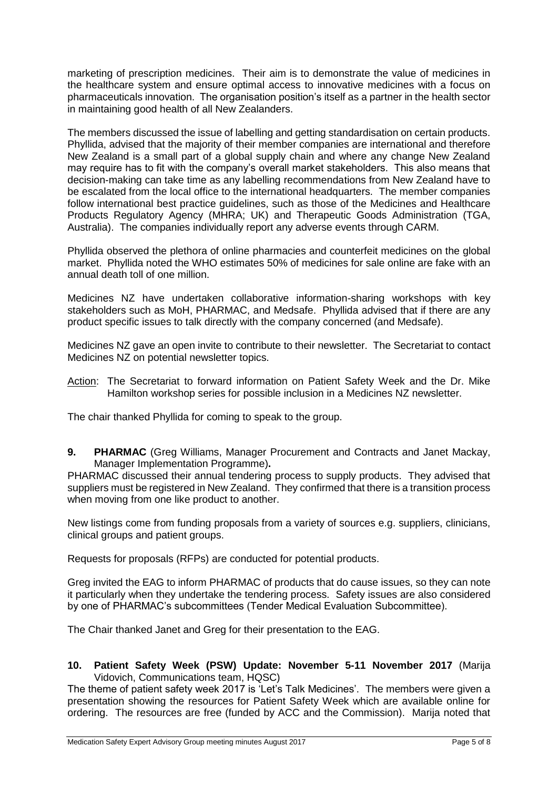marketing of prescription medicines. Their aim is to demonstrate the value of medicines in the healthcare system and ensure optimal access to innovative medicines with a focus on pharmaceuticals innovation. The organisation position's itself as a partner in the health sector in maintaining good health of all New Zealanders.

The members discussed the issue of labelling and getting standardisation on certain products. Phyllida, advised that the majority of their member companies are international and therefore New Zealand is a small part of a global supply chain and where any change New Zealand may require has to fit with the company's overall market stakeholders. This also means that decision-making can take time as any labelling recommendations from New Zealand have to be escalated from the local office to the international headquarters. The member companies follow international best practice guidelines, such as those of the Medicines and Healthcare Products Regulatory Agency (MHRA; UK) and Therapeutic Goods Administration (TGA, Australia). The companies individually report any adverse events through CARM.

Phyllida observed the plethora of online pharmacies and counterfeit medicines on the global market. Phyllida noted the WHO estimates 50% of medicines for sale online are fake with an annual death toll of one million.

Medicines NZ have undertaken collaborative information-sharing workshops with key stakeholders such as MoH, PHARMAC, and Medsafe. Phyllida advised that if there are any product specific issues to talk directly with the company concerned (and Medsafe).

Medicines NZ gave an open invite to contribute to their newsletter. The Secretariat to contact Medicines NZ on potential newsletter topics.

Action: The Secretariat to forward information on Patient Safety Week and the Dr. Mike Hamilton workshop series for possible inclusion in a Medicines NZ newsletter.

The chair thanked Phyllida for coming to speak to the group.

**9. PHARMAC** (Greg Williams, Manager Procurement and Contracts and Janet Mackay, Manager Implementation Programme)**.**

PHARMAC discussed their annual tendering process to supply products. They advised that suppliers must be registered in New Zealand. They confirmed that there is a transition process when moving from one like product to another.

New listings come from funding proposals from a variety of sources e.g. suppliers, clinicians, clinical groups and patient groups.

Requests for proposals (RFPs) are conducted for potential products.

Greg invited the EAG to inform PHARMAC of products that do cause issues, so they can note it particularly when they undertake the tendering process. Safety issues are also considered by one of PHARMAC's subcommittees (Tender Medical Evaluation Subcommittee).

The Chair thanked Janet and Greg for their presentation to the EAG.

### **10. Patient Safety Week (PSW) Update: November 5-11 November 2017** (Marija Vidovich, Communications team, HQSC)

The theme of patient safety week 2017 is 'Let's Talk Medicines'. The members were given a presentation showing the resources for Patient Safety Week which are available online for ordering. The resources are free (funded by ACC and the Commission). Marija noted that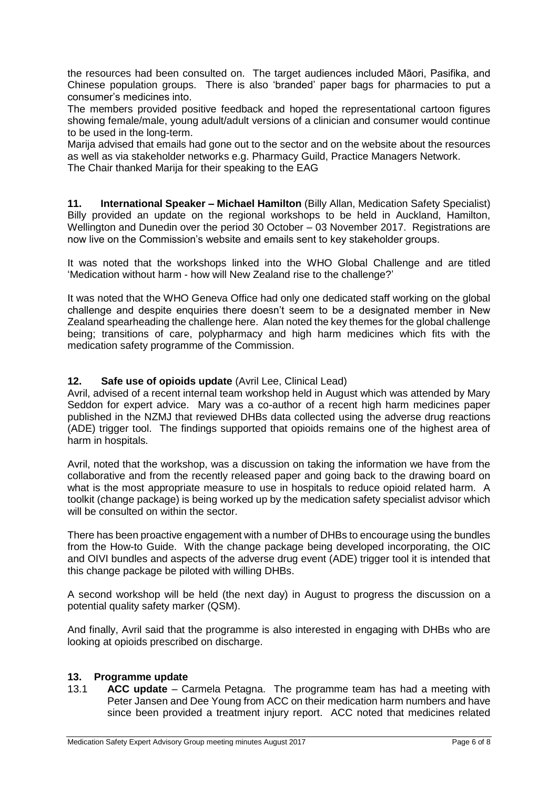the resources had been consulted on. The target audiences included Māori, Pasifika, and Chinese population groups. There is also 'branded' paper bags for pharmacies to put a consumer's medicines into.

The members provided positive feedback and hoped the representational cartoon figures showing female/male, young adult/adult versions of a clinician and consumer would continue to be used in the long-term.

Marija advised that emails had gone out to the sector and on the website about the resources as well as via stakeholder networks e.g. Pharmacy Guild, Practice Managers Network.

The Chair thanked Marija for their speaking to the EAG

**11. International Speaker – Michael Hamilton** (Billy Allan, Medication Safety Specialist) Billy provided an update on the regional workshops to be held in Auckland, Hamilton, Wellington and Dunedin over the period 30 October – 03 November 2017. Registrations are now live on the Commission's website and emails sent to key stakeholder groups.

It was noted that the workshops linked into the WHO Global Challenge and are titled 'Medication without harm - how will New Zealand rise to the challenge?'

It was noted that the WHO Geneva Office had only one dedicated staff working on the global challenge and despite enquiries there doesn't seem to be a designated member in New Zealand spearheading the challenge here. Alan noted the key themes for the global challenge being; transitions of care, polypharmacy and high harm medicines which fits with the medication safety programme of the Commission.

# **12. Safe use of opioids update** (Avril Lee, Clinical Lead)

Avril, advised of a recent internal team workshop held in August which was attended by Mary Seddon for expert advice. Mary was a co-author of a recent high harm medicines paper published in the NZMJ that reviewed DHBs data collected using the adverse drug reactions (ADE) trigger tool. The findings supported that opioids remains one of the highest area of harm in hospitals.

Avril, noted that the workshop, was a discussion on taking the information we have from the collaborative and from the recently released paper and going back to the drawing board on what is the most appropriate measure to use in hospitals to reduce opioid related harm. A toolkit (change package) is being worked up by the medication safety specialist advisor which will be consulted on within the sector.

There has been proactive engagement with a number of DHBs to encourage using the bundles from the How-to Guide. With the change package being developed incorporating, the OIC and OIVI bundles and aspects of the adverse drug event (ADE) trigger tool it is intended that this change package be piloted with willing DHBs.

A second workshop will be held (the next day) in August to progress the discussion on a potential quality safety marker (QSM).

And finally, Avril said that the programme is also interested in engaging with DHBs who are looking at opioids prescribed on discharge.

### **13. Programme update**

13.1 **ACC update** – Carmela Petagna. The programme team has had a meeting with Peter Jansen and Dee Young from ACC on their medication harm numbers and have since been provided a treatment injury report. ACC noted that medicines related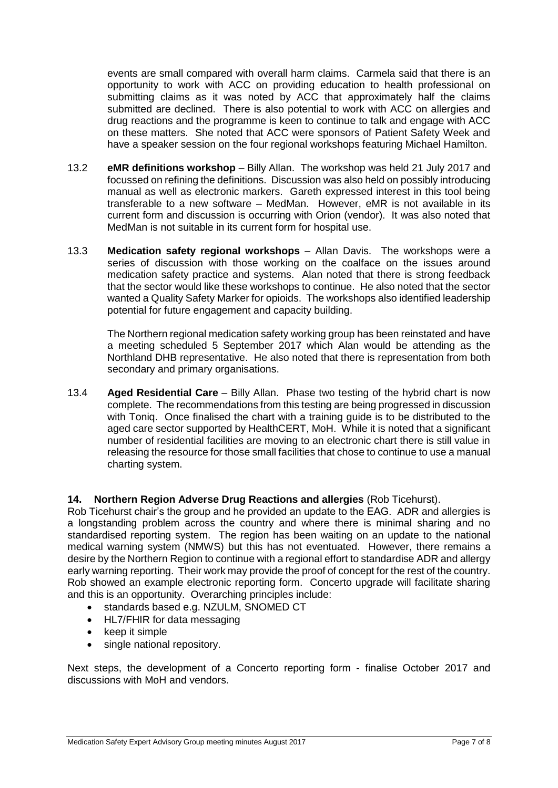events are small compared with overall harm claims. Carmela said that there is an opportunity to work with ACC on providing education to health professional on submitting claims as it was noted by ACC that approximately half the claims submitted are declined. There is also potential to work with ACC on allergies and drug reactions and the programme is keen to continue to talk and engage with ACC on these matters. She noted that ACC were sponsors of Patient Safety Week and have a speaker session on the four regional workshops featuring Michael Hamilton.

- 13.2 **eMR definitions workshop** Billy Allan. The workshop was held 21 July 2017 and focussed on refining the definitions. Discussion was also held on possibly introducing manual as well as electronic markers. Gareth expressed interest in this tool being transferable to a new software – MedMan. However, eMR is not available in its current form and discussion is occurring with Orion (vendor). It was also noted that MedMan is not suitable in its current form for hospital use.
- 13.3 **Medication safety regional workshops** Allan Davis. The workshops were a series of discussion with those working on the coalface on the issues around medication safety practice and systems. Alan noted that there is strong feedback that the sector would like these workshops to continue. He also noted that the sector wanted a Quality Safety Marker for opioids. The workshops also identified leadership potential for future engagement and capacity building.

The Northern regional medication safety working group has been reinstated and have a meeting scheduled 5 September 2017 which Alan would be attending as the Northland DHB representative. He also noted that there is representation from both secondary and primary organisations.

13.4 **Aged Residential Care** – Billy Allan. Phase two testing of the hybrid chart is now complete. The recommendations from this testing are being progressed in discussion with Toniq. Once finalised the chart with a training guide is to be distributed to the aged care sector supported by HealthCERT, MoH. While it is noted that a significant number of residential facilities are moving to an electronic chart there is still value in releasing the resource for those small facilities that chose to continue to use a manual charting system.

# **14. Northern Region Adverse Drug Reactions and allergies** (Rob Ticehurst).

Rob Ticehurst chair's the group and he provided an update to the EAG. ADR and allergies is a longstanding problem across the country and where there is minimal sharing and no standardised reporting system. The region has been waiting on an update to the national medical warning system (NMWS) but this has not eventuated. However, there remains a desire by the Northern Region to continue with a regional effort to standardise ADR and allergy early warning reporting. Their work may provide the proof of concept for the rest of the country. Rob showed an example electronic reporting form. Concerto upgrade will facilitate sharing and this is an opportunity. Overarching principles include:

- standards based e.g. NZULM, SNOMED CT
- HL7/FHIR for data messaging
- $\bullet$  keep it simple
- single national repository.

Next steps, the development of a Concerto reporting form - finalise October 2017 and discussions with MoH and vendors.